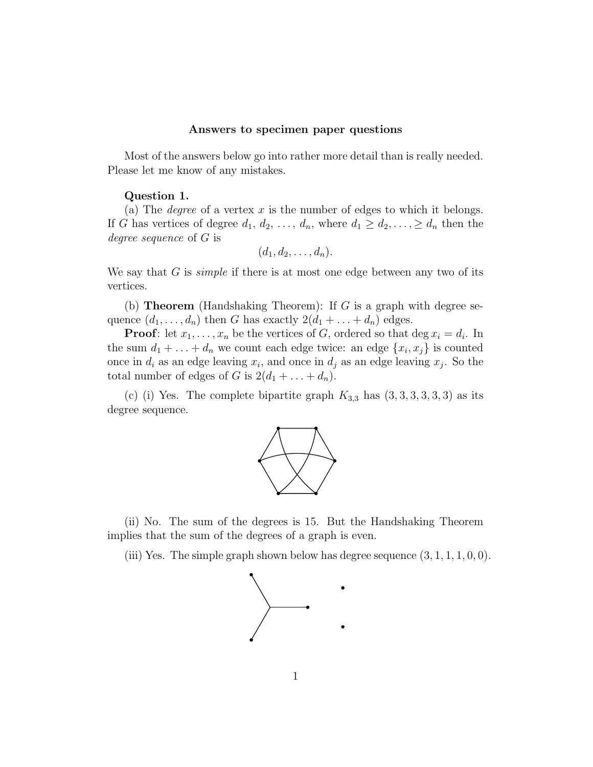# Answers to specimen paper questions

Most of the answers below go into rather more detail than is really needed. Please let me know of any mistakes.

## Question 1.

(a) The *degree* of a vertex x is the number of edges to which it belongs. If G has vertices of degree  $d_1, d_2, \ldots, d_n$ , where  $d_1 \geq d_2, \ldots, \geq d_n$  then the degree sequence of G is

$$
(d_1, d_2, \ldots, d_n).
$$

We say that G is *simple* if there is at most one edge between any two of its vertices.

(b) **Theorem** (Handshaking Theorem): If G is a graph with degree sequence  $(d_1, \ldots, d_n)$  then G has exactly  $2(d_1 + \ldots + d_n)$  edges.

**Proof**: let  $x_1, \ldots, x_n$  be the vertices of G, ordered so that deg  $x_i = d_i$ . In the sum  $d_1 + \ldots + d_n$  we count each edge twice: an edge  $\{x_i, x_j\}$  is counted once in  $d_i$  as an edge leaving  $x_i$ , and once in  $d_j$  as an edge leaving  $x_j$ . So the total number of edges of G is  $2(d_1 + \ldots + d_n)$ .

(c) (i) Yes. The complete bipartite graph  $K_{3,3}$  has  $(3,3,3,3,3,3)$  as its degree sequence.



(ii) No. The sum of the degrees is 15. But the Handshaking Theorem implies that the sum of the degrees of a graph is even.

(iii) Yes. The simple graph shown below has degree sequence  $(3, 1, 1, 1, 0, 0)$ .

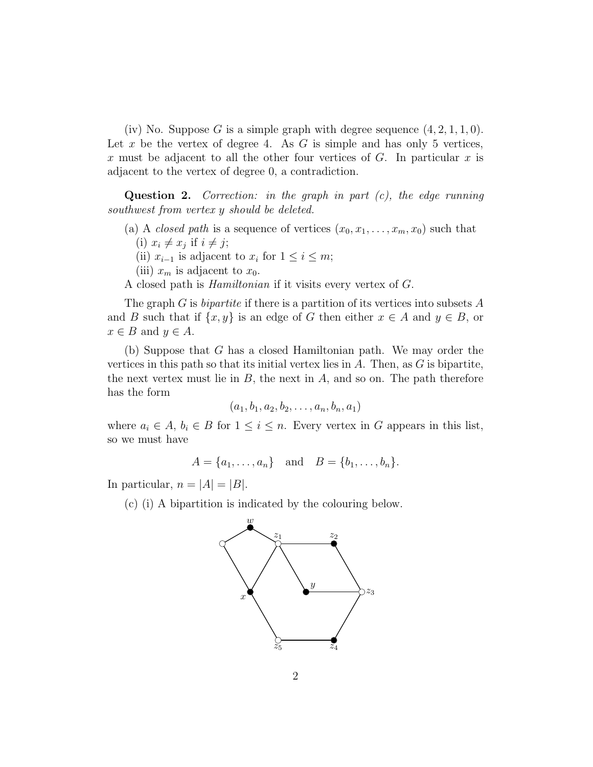(iv) No. Suppose G is a simple graph with degree sequence  $(4, 2, 1, 1, 0)$ . Let x be the vertex of degree 4. As  $G$  is simple and has only 5 vertices, x must be adjacent to all the other four vertices of  $G$ . In particular x is adjacent to the vertex of degree 0, a contradiction.

**Question 2.** Correction: in the graph in part  $(c)$ , the edge running southwest from vertex y should be deleted.

- (a) A *closed path* is a sequence of vertices  $(x_0, x_1, \ldots, x_m, x_0)$  such that
	- (i)  $x_i \neq x_j$  if  $i \neq j$ ;
	- (ii)  $x_{i-1}$  is adjacent to  $x_i$  for  $1 \leq i \leq m$ ;
	- (iii)  $x_m$  is adjacent to  $x_0$ .

A closed path is Hamiltonian if it visits every vertex of G.

The graph G is *bipartite* if there is a partition of its vertices into subsets  $A$ and B such that if  $\{x, y\}$  is an edge of G then either  $x \in A$  and  $y \in B$ , or  $x \in B$  and  $y \in A$ .

(b) Suppose that G has a closed Hamiltonian path. We may order the vertices in this path so that its initial vertex lies in  $A$ . Then, as  $G$  is bipartite, the next vertex must lie in  $B$ , the next in  $A$ , and so on. The path therefore has the form

$$
(a_1, b_1, a_2, b_2, \ldots, a_n, b_n, a_1)
$$

where  $a_i \in A$ ,  $b_i \in B$  for  $1 \leq i \leq n$ . Every vertex in G appears in this list, so we must have

$$
A = \{a_1, \ldots, a_n\}
$$
 and  $B = \{b_1, \ldots, b_n\}.$ 

In particular,  $n = |A| = |B|$ .

(c) (i) A bipartition is indicated by the colouring below.

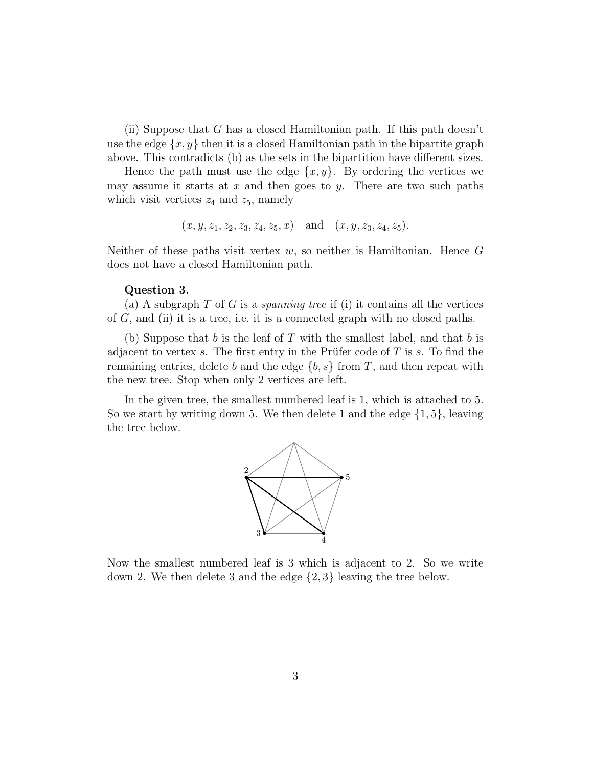(ii) Suppose that G has a closed Hamiltonian path. If this path doesn't use the edge  $\{x, y\}$  then it is a closed Hamiltonian path in the bipartite graph above. This contradicts (b) as the sets in the bipartition have different sizes.

Hence the path must use the edge  $\{x, y\}$ . By ordering the vertices we may assume it starts at x and then goes to y. There are two such paths which visit vertices  $z_4$  and  $z_5$ , namely

$$
(x, y, z_1, z_2, z_3, z_4, z_5, x)
$$
 and  $(x, y, z_3, z_4, z_5)$ .

Neither of these paths visit vertex  $w$ , so neither is Hamiltonian. Hence  $G$ does not have a closed Hamiltonian path.

## Question 3.

(a) A subgraph  $T$  of  $G$  is a *spanning tree* if (i) it contains all the vertices of  $G$ , and (ii) it is a tree, i.e. it is a connected graph with no closed paths.

(b) Suppose that b is the leaf of T with the smallest label, and that b is adjacent to vertex s. The first entry in the Prüfer code of  $T$  is s. To find the remaining entries, delete b and the edge  $\{b, s\}$  from T, and then repeat with the new tree. Stop when only 2 vertices are left.

In the given tree, the smallest numbered leaf is 1, which is attached to 5. So we start by writing down 5. We then delete 1 and the edge  $\{1, 5\}$ , leaving the tree below.



Now the smallest numbered leaf is 3 which is adjacent to 2. So we write down 2. We then delete 3 and the edge {2, 3} leaving the tree below.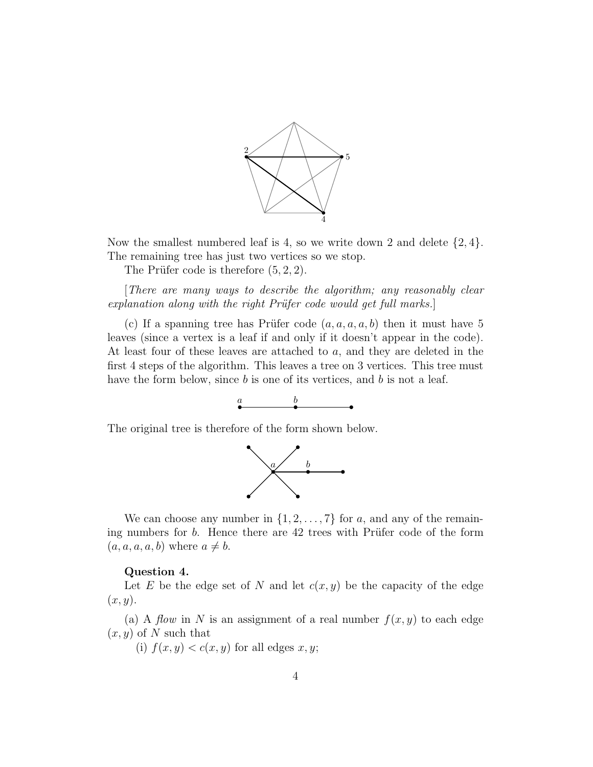

Now the smallest numbered leaf is 4, so we write down 2 and delete  $\{2,4\}$ . The remaining tree has just two vertices so we stop.

The Prüfer code is therefore  $(5, 2, 2)$ .

[There are many ways to describe the algorithm; any reasonably clear explanation along with the right Prüfer code would get full marks.

(c) If a spanning tree has Prüfer code  $(a, a, a, a, b)$  then it must have 5 leaves (since a vertex is a leaf if and only if it doesn't appear in the code). At least four of these leaves are attached to a, and they are deleted in the first 4 steps of the algorithm. This leaves a tree on 3 vertices. This tree must have the form below, since  $b$  is one of its vertices, and  $b$  is not a leaf.



The original tree is therefore of the form shown below.



We can choose any number in  $\{1, 2, \ldots, 7\}$  for a, and any of the remaining numbers for  $b$ . Hence there are  $42$  trees with Prüfer code of the form  $(a, a, a, a, b)$  where  $a \neq b$ .

### Question 4.

Let E be the edge set of N and let  $c(x, y)$  be the capacity of the edge  $(x, y)$ .

(a) A flow in N is an assignment of a real number  $f(x, y)$  to each edge  $(x, y)$  of N such that

(i)  $f(x, y) < c(x, y)$  for all edges x, y;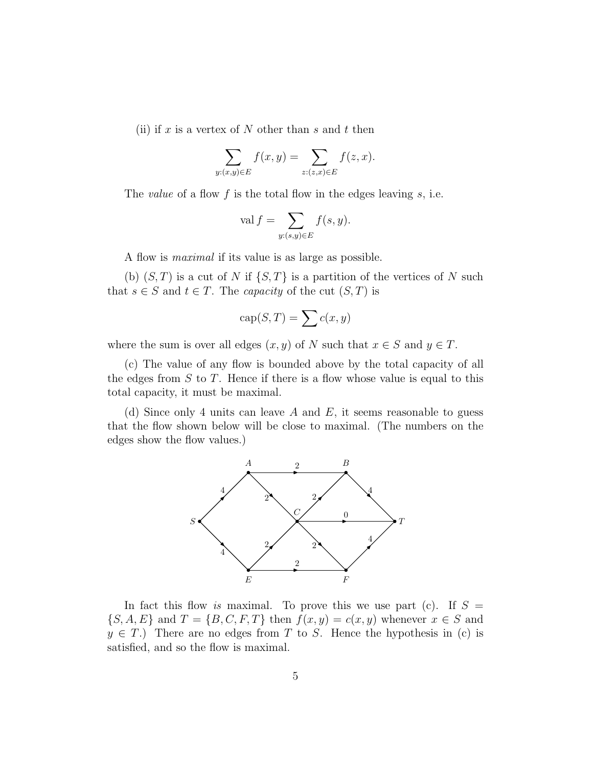(ii) if x is a vertex of N other than s and t then

$$
\sum_{y:(x,y)\in E} f(x,y) = \sum_{z:(z,x)\in E} f(z,x).
$$

The *value* of a flow  $f$  is the total flow in the edges leaving  $s$ , i.e.

$$
\operatorname{val} f = \sum_{y:(s,y)\in E} f(s,y).
$$

A flow is maximal if its value is as large as possible.

(b)  $(S, T)$  is a cut of N if  $\{S, T\}$  is a partition of the vertices of N such that  $s \in S$  and  $t \in T$ . The *capacity* of the cut  $(S, T)$  is

$$
cap(S, T) = \sum c(x, y)
$$

where the sum is over all edges  $(x, y)$  of N such that  $x \in S$  and  $y \in T$ .

(c) The value of any flow is bounded above by the total capacity of all the edges from  $S$  to  $T$ . Hence if there is a flow whose value is equal to this total capacity, it must be maximal.

(d) Since only 4 units can leave  $A$  and  $E$ , it seems reasonable to guess that the flow shown below will be close to maximal. (The numbers on the edges show the flow values.)



In fact this flow is maximal. To prove this we use part (c). If  $S =$  $\{S, A, E\}$  and  $T = \{B, C, F, T\}$  then  $f(x, y) = c(x, y)$  whenever  $x \in S$  and  $y \in T$ .) There are no edges from T to S. Hence the hypothesis in (c) is satisfied, and so the flow is maximal.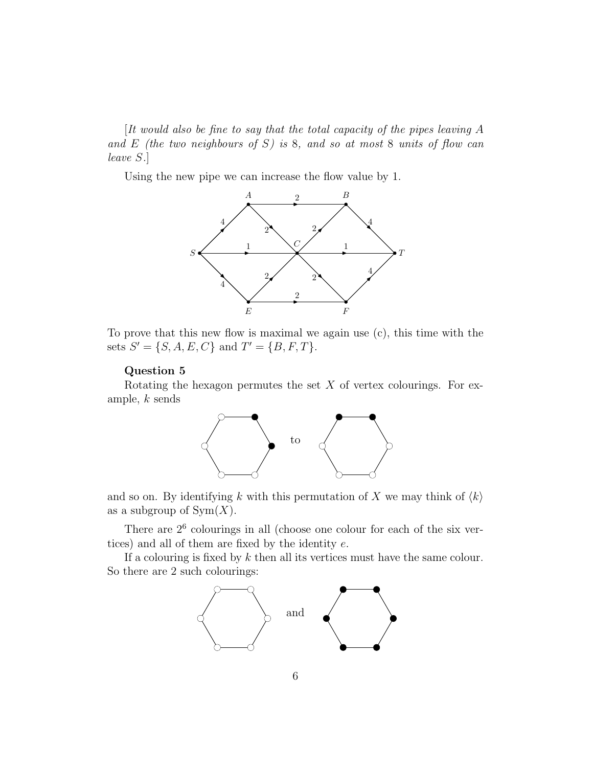[It would also be fine to say that the total capacity of the pipes leaving A and E (the two neighbours of S) is 8, and so at most 8 units of flow can leave S.]

Using the new pipe we can increase the flow value by 1.



To prove that this new flow is maximal we again use (c), this time with the sets  $S' = \{S, A, E, C\}$  and  $T' = \{B, F, T\}.$ 

## Question 5

Rotating the hexagon permutes the set  $X$  of vertex colourings. For example,  $k$  sends



and so on. By identifying k with this permutation of X we may think of  $\langle k \rangle$ as a subgroup of  $\text{Sym}(X)$ .

There are  $2<sup>6</sup>$  colourings in all (choose one colour for each of the six vertices) and all of them are fixed by the identity  $e$ .

If a colouring is fixed by  $k$  then all its vertices must have the same colour. So there are 2 such colourings:

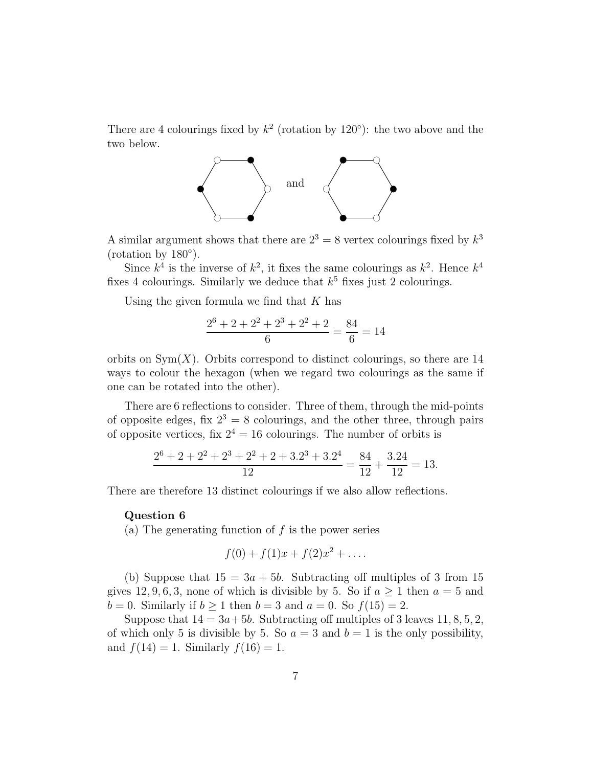There are 4 colourings fixed by  $k^2$  (rotation by 120°): the two above and the two below.



A similar argument shows that there are  $2^3 = 8$  vertex colourings fixed by  $k^3$ (rotation by 180◦ ).

Since  $k^4$  is the inverse of  $k^2$ , it fixes the same colourings as  $k^2$ . Hence  $k^4$ fixes 4 colourings. Similarly we deduce that  $k^5$  fixes just 2 colourings.

Using the given formula we find that  $K$  has

$$
\frac{2^6 + 2 + 2^2 + 2^3 + 2^2 + 2}{6} = \frac{84}{6} = 14
$$

orbits on  $Sym(X)$ . Orbits correspond to distinct colourings, so there are 14 ways to colour the hexagon (when we regard two colourings as the same if one can be rotated into the other).

There are 6 reflections to consider. Three of them, through the mid-points of opposite edges, fix  $2^3 = 8$  colourings, and the other three, through pairs of opposite vertices, fix  $2^4 = 16$  colourings. The number of orbits is

$$
\frac{2^6 + 2 + 2^2 + 2^3 + 2^2 + 2 + 3 \cdot 2^3 + 3 \cdot 2^4}{12} = \frac{84}{12} + \frac{3 \cdot 24}{12} = 13.
$$

There are therefore 13 distinct colourings if we also allow reflections.

### Question 6

(a) The generating function of  $f$  is the power series

$$
f(0) + f(1)x + f(2)x^{2} + \dots
$$

(b) Suppose that  $15 = 3a + 5b$ . Subtracting off multiples of 3 from 15 gives 12, 9, 6, 3, none of which is divisible by 5. So if  $a > 1$  then  $a = 5$  and  $b = 0$ . Similarly if  $b \ge 1$  then  $b = 3$  and  $a = 0$ . So  $f(15) = 2$ .

Suppose that  $14 = 3a + 5b$ . Subtracting off multiples of 3 leaves 11, 8, 5, 2, of which only 5 is divisible by 5. So  $a = 3$  and  $b = 1$  is the only possibility, and  $f(14) = 1$ . Similarly  $f(16) = 1$ .